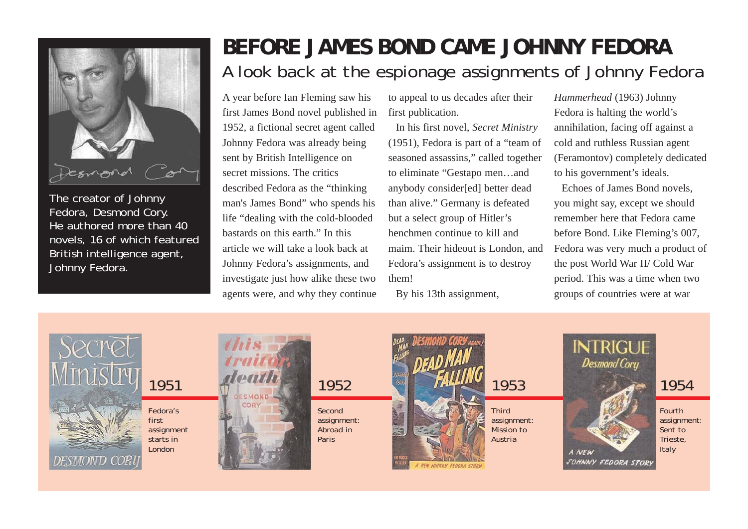

The creator of Johnny Fedora, Desmond Cory. He authored more than 40 novels, 16 of which featured British intelligence agent, Johnny Fedora.

## **BEFORE JAMES BOND CAME JOHNNY FEDORA** A look back at the espionage assignments of Johnny Fedora

A year before Ian Fleming saw his first James Bond novel published in 1952, a fictional secret agent called Johnny Fedora was already being sent by British Intelligence on secret missions. The critics described Fedora as the "thinking man's James Bond" who spends his life "dealing with the cold-blooded bastards on this earth." In this article we will take a look back at Johnny Fedora's assignments, and investigate just how alike these two agents were, and why they continue to appeal to us decades after their first publication.

In his first novel, *Secret Ministry* (1951), Fedora is part of a "team of seasoned assassins," called together to eliminate "Gestapo men…and anybody consider[ed] better dead than alive." Germany is defeated but a select group of Hitler's henchmen continue to kill and maim. Their hideout is London, and Fedora's assignment is to destroy them!

By his 13th assignment,

*Hammerhead* (1963) Johnny Fedora is halting the world's annihilation, facing off against a cold and ruthless Russian agent (Feramontov) completely dedicated to his government's ideals.

Echoes of James Bond novels, you might say, except we should remember here that Fedora came before Bond. Like Fleming's 007, Fedora was very much a product of the post World War II/ Cold War period. This was a time when two groups of countries were at war

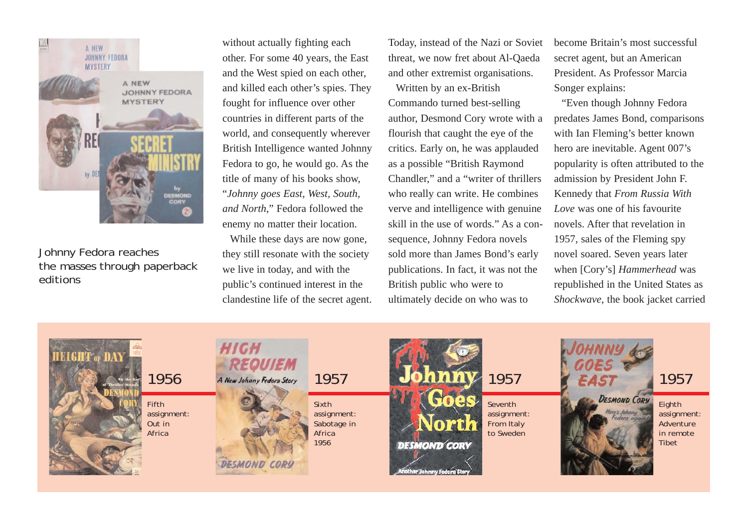

Johnny Fedora reaches the masses through paperback editions

without actually fighting each other. For some 40 years, the East and the West spied on each other, and killed each other's spies. They fought for influence over other countries in different parts of the world, and consequently wherever British Intelligence wanted Johnny Fedora to go, he would go. As the title of many of his books show, "*Johnny goes East, West, South, and North*," Fedora followed the enemy no matter their location.

While these days are now gone, they still resonate with the society we live in today, and with the public's continued interest in the clandestine life of the secret agent. Today, instead of the Nazi or Soviet threat, we now fret about Al-Qaeda and other extremist organisations.

Written by an ex-British Commando turned best-selling author, Desmond Cory wrote with a flourish that caught the eye of the critics. Early on, he was applauded as a possible "British Raymond Chandler," and a "writer of thrillers who really can write. He combines verve and intelligence with genuine skill in the use of words." As a consequence, Johnny Fedora novels sold more than James Bond's early publications. In fact, it was not the British public who were to ultimately decide on who was to

become Britain's most successful secret agent, but an American President. As Professor Marcia Songer explains:

"Even though Johnny Fedora predates James Bond, comparisons with Ian Fleming's better known hero are inevitable. Agent 007's popularity is often attributed to the admission by President John F. Kennedy that *From Russia With Love* was one of his favourite novels. After that revelation in 1957, sales of the Fleming spy novel soared. Seven years later when [Cory's] *Hammerhead* was republished in the United States as *Shockwave*, the book jacket carried

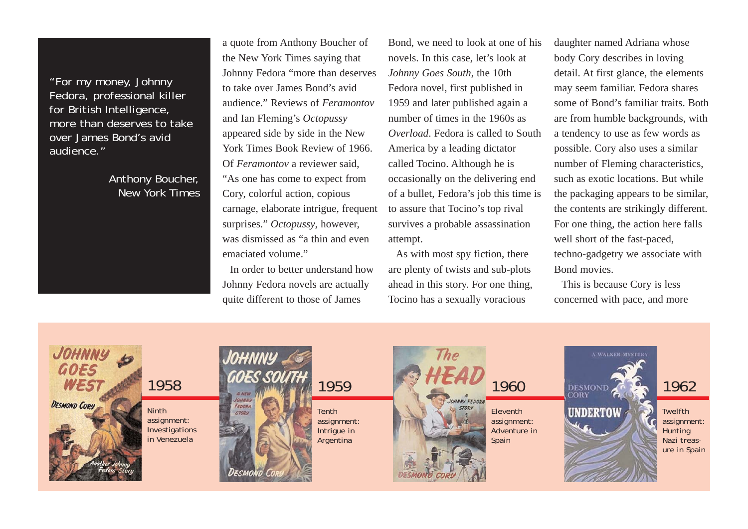"For my money, Johnny Fedora, professional killer for British Intelligence, more than deserves to take over James Bond's avid audience."

> Anthony Boucher, New York Times

a quote from Anthony Boucher of the New York Times saying that Johnny Fedora "more than deserves to take over James Bond's avid audience." Reviews of *Feramontov* and Ian Fleming's *Octopussy* appeared side by side in the New York Times Book Review of 1966. Of *Feramontov* a reviewer said, "As one has come to expect from Cory, colorful action, copious carnage, elaborate intrigue, frequent surprises." *Octopussy*, however, was dismissed as "a thin and even emaciated volume."

In order to better understand how Johnny Fedora novels are actually quite different to those of James

Bond, we need to look at one of his novels. In this case, let's look at *Johnny Goes South*, the 10th Fedora novel, first published in 1959 and later published again a number of times in the 1960s as *Overload*. Fedora is called to South America by a leading dictator called Tocino. Although he is occasionally on the delivering end of a bullet, Fedora's job this time is to assure that Tocino's top rival survives a probable assassination attempt.

As with most spy fiction, there are plenty of twists and sub-plots ahead in this story. For one thing, Tocino has a sexually voracious

daughter named Adriana whose body Cory describes in loving detail. At first glance, the elements may seem familiar. Fedora shares some of Bond's familiar traits. Both are from humble backgrounds, with a tendency to use as few words as possible. Cory also uses a similar number of Fleming characteristics, such as exotic locations. But while the packaging appears to be similar, the contents are strikingly different. For one thing, the action here falls well short of the fast-paced, techno-gadgetry we associate with Bond movies.

This is because Cory is less concerned with pace, and more

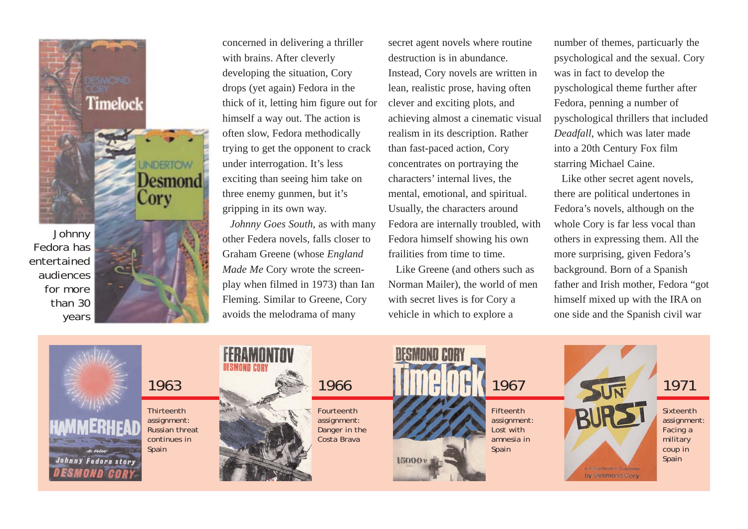**Johnny** Fedora has entertained audiences for more than 30 years



Desmond

Timelock

concerned in delivering a thriller with brains. After cleverly developing the situation, Cory drops (yet again) Fedora in the thick of it, letting him figure out for himself a way out. The action is often slow, Fedora methodically trying to get the opponent to crack under interrogation. It's less exciting than seeing him take on three enemy gunmen, but it's gripping in its own way.

*Johnny Goes South*, as with many other Federa novels, falls closer to Graham Greene (whose *England Made Me* Cory wrote the screenplay when filmed in 1973) than Ian Fleming. Similar to Greene, Cory avoids the melodrama of many

secret agent novels where routine destruction is in abundance. Instead, Cory novels are written in lean, realistic prose, having often clever and exciting plots, and achieving almost a cinematic visual realism in its description. Rather than fast-paced action, Cory concentrates on portraying the characters' internal lives, the mental, emotional, and spiritual. Usually, the characters around Fedora are internally troubled, with Fedora himself showing his own frailities from time to time.

Like Greene (and others such as Norman Mailer), the world of men with secret lives is for Cory a vehicle in which to explore a

number of themes, particuarly the psychological and the sexual. Cory was in fact to develop the pyschological theme further after Fedora, penning a number of pyschological thrillers that included *Deadfall*, which was later made into a 20th Century Fox film starring Michael Caine.

Like other secret agent novels, there are political undertones in Fedora's novels, although on the whole Cory is far less vocal than others in expressing them. All the more surprising, given Fedora's background. Born of a Spanish father and Irish mother, Fedora "got himself mixed up with the IRA on one side and the Spanish civil war

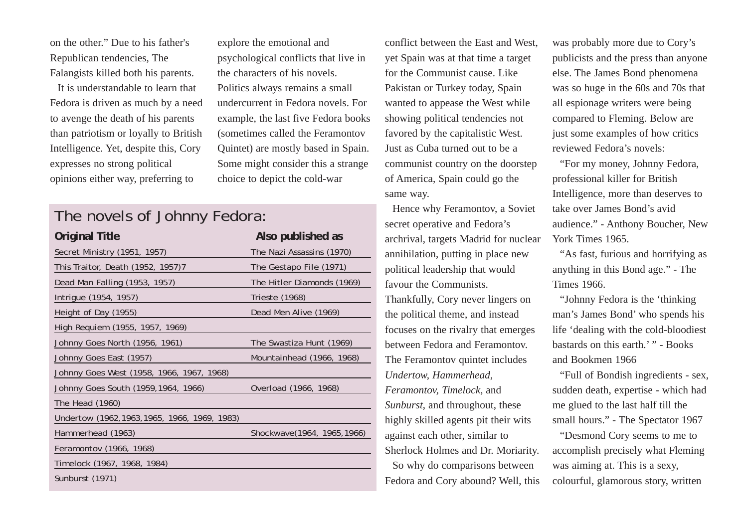on the other." Due to his father's Republican tendencies, The Falangists killed both his parents.

It is understandable to learn that Fedora is driven as much by a need to avenge the death of his parents than patriotism or loyally to British Intelligence. Yet, despite this, Cory expresses no strong political opinions either way, preferring to

explore the emotional and psychological conflicts that live in the characters of his novels. Politics always remains a small undercurrent in Fedora novels. For example, the last five Fedora books (sometimes called the Feramontov Quintet) are mostly based in Spain. Some might consider this a strange choice to depict the cold-war

## The novels of Johnny Fedora:

| Original Title                                | Also published as           |
|-----------------------------------------------|-----------------------------|
| Secret Ministry (1951, 1957)                  | The Nazi Assassins (1970)   |
| This Traitor, Death (1952, 1957)7             | The Gestapo File (1971)     |
| Dead Man Falling (1953, 1957)                 | The Hitler Diamonds (1969)  |
| Intrigue (1954, 1957)                         | Trieste (1968)              |
| Height of Day (1955)                          | Dead Men Alive (1969)       |
| High Requiem (1955, 1957, 1969)               |                             |
| Johnny Goes North (1956, 1961)                | The Swastiza Hunt (1969)    |
| Johnny Goes East (1957)                       | Mountainhead (1966, 1968)   |
| Johnny Goes West (1958, 1966, 1967, 1968)     |                             |
| Johnny Goes South (1959, 1964, 1966)          | Overload (1966, 1968)       |
| The Head (1960)                               |                             |
| Undertow (1962, 1963, 1965, 1966, 1969, 1983) |                             |
| Hammerhead (1963)                             | Shockwave(1964, 1965, 1966) |
| Feramontov (1966, 1968)                       |                             |
| Timelock (1967, 1968, 1984)                   |                             |
| Sunburst (1971)                               |                             |
|                                               |                             |

conflict between the East and West, yet Spain was at that time a target for the Communist cause. Like Pakistan or Turkey today, Spain wanted to appease the West while showing political tendencies not favored by the capitalistic West. Just as Cuba turned out to be a communist country on the doorstep of America, Spain could go the same way.

Hence why Feramontov, a Soviet secret operative and Fedora's archrival, targets Madrid for nuclear annihilation, putting in place new political leadership that would favour the Communists. Thankfully, Cory never lingers on

the political theme, and instead focuses on the rivalry that emerges between Fedora and Feramontov. The Feramontov quintet includes *Undertow, Hammerhead, Feramontov, Timelock,* and *Sunburst*, and throughout, these highly skilled agents pit their wits against each other, similar to Sherlock Holmes and Dr. Moriarity. So why do comparisons between Fedora and Cory abound? Well, this was probably more due to Cory's publicists and the press than anyone else. The James Bond phenomena was so huge in the 60s and 70s that all espionage writers were being compared to Fleming. Below are just some examples of how critics reviewed Fedora's novels:

"For my money, Johnny Fedora, professional killer for British Intelligence, more than deserves to take over James Bond's avid audience." - Anthony Boucher, New York Times 1965.

"As fast, furious and horrifying as anything in this Bond age." - The Times 1966.

"Johnny Fedora is the 'thinking man's James Bond' who spends his life 'dealing with the cold-bloodiest bastards on this earth.' " - Books and Bookmen 1966

"Full of Bondish ingredients - sex, sudden death, expertise - which had me glued to the last half till the small hours." - The Spectator 1967

"Desmond Cory seems to me to accomplish precisely what Fleming was aiming at. This is a sexy, colourful, glamorous story, written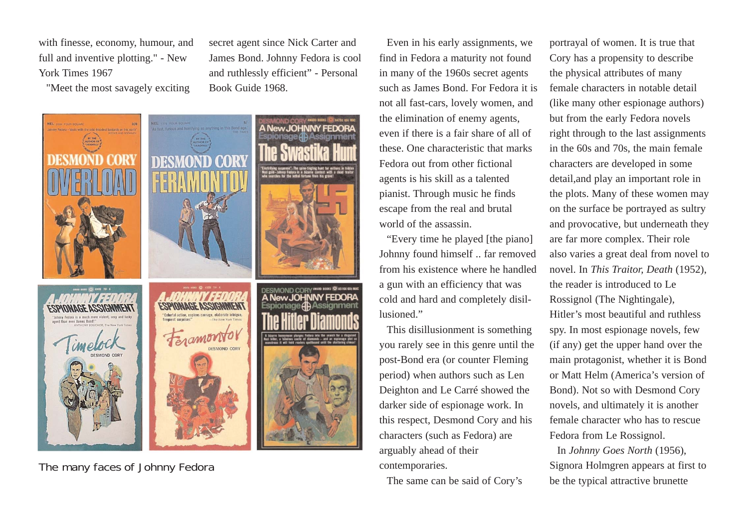with finesse, economy, humour, and full and inventive plotting." - New York Times 1967

"Meet the most savagely exciting



secret agent since Nick Carter and James Bond. Johnny Fedora is cool and ruthlessly efficient" - Personal

Book Guide 1968.

The many faces of Johnny Fedora

Even in his early assignments, we find in Fedora a maturity not found in many of the 1960s secret agents such as James Bond. For Fedora it is not all fast-cars, lovely women, and the elimination of enemy agents, even if there is a fair share of all of these. One characteristic that marks Fedora out from other fictional agents is his skill as a talented pianist. Through music he finds escape from the real and brutal world of the assassin.

"Every time he played [the piano] Johnny found himself .. far removed from his existence where he handled a gun with an efficiency that was cold and hard and completely disillusioned."

This disillusionment is something you rarely see in this genre until the post-Bond era (or counter Fleming period) when authors such as Len Deighton and Le Carré showed the darker side of espionage work. In this respect, Desmond Cory and his characters (such as Fedora) are arguably ahead of their contemporaries.

The same can be said of Cory's

portrayal of women. It is true that Cory has a propensity to describe the physical attributes of many female characters in notable detail (like many other espionage authors) but from the early Fedora novels right through to the last assignments in the 60s and 70s, the main female characters are developed in some detail,and play an important role in the plots. Many of these women may on the surface be portrayed as sultry and provocative, but underneath they are far more complex. Their role also varies a great deal from novel to novel. In *This Traitor, Death* (1952), the reader is introduced to Le Rossignol (The Nightingale), Hitler's most beautiful and ruthless spy. In most espionage novels, few (if any) get the upper hand over the main protagonist, whether it is Bond or Matt Helm (America's version of Bond). Not so with Desmond Cory novels, and ultimately it is another female character who has to rescue Fedora from Le Rossignol.

In *Johnny Goes North* (1956), Signora Holmgren appears at first to be the typical attractive brunette